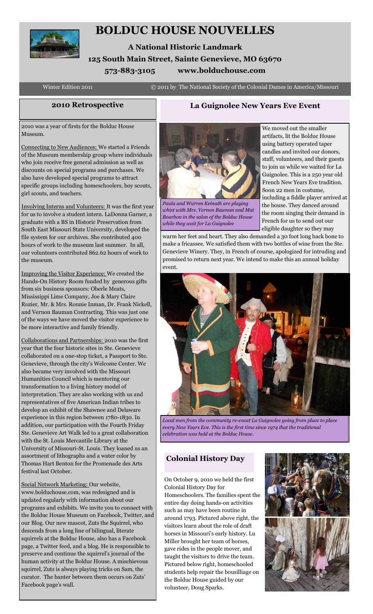

# **BOLDUC HOUSE NOUVELLES**

**A National Historic Landmark 125 South Main Street, Sainte Genevieve, MO 63670 573-883-3105 www.bolduchouse.com**

Winter Edition 2011 **C** 2011 by The National Society of the Colonial Dames in America/Missouri

# **2010 Retrospective La Guignolee New Years Eve Event**

2010 was a year of firsts for the Bolduc House Museum.

Connecting to New Audiences: We started a Friends of the Museum membership group where individuals who join receive free general admission as well as discounts on special programs and purchases. We also have developed special programs to attract specific groups including homeschoolers, boy scouts, girl scouts, and teachers.

Involving Interns and Volunteers: It was the first year for us to involve a student intern. LaDonna Garner, a graduate with a BS in Historic Preservation from South East Missouri State University, developed the file system for our archives. She contributed 400 hours of work to the museum last summer. In all, our volunteers contributed 862.62 hours of work to the museum.

Improving the Visitor Experience: We created the Hands-On History Room funded by generous gifts from six business sponsors: Oberle Meats, Mississippi Lime Company, Joe & Mary Claire Rozier, Mr. & Mrs. Ronnie Inman, Dr. Frank Nickell, and Vernon Bauman Contracting. This was just one of the ways we have moved the visitor experience to be more interactive and family friendly.

Collaborations and Partnerships: 2010 was the first year that the four historic sites in Ste. Genevieve collaborated on a one-stop ticket, a Passport to Ste. Genevieve, through the city's Welcome Center. We also became very involved with the Missouri Humanities Council which is mentoring our transformation to a living history model of interpretation. They are also working with us and representatives of five American Indian tribes to develop an exhibit of the Shawnee and Delaware experience in this region between 1780-1830. In addition, our participation with the Fourth Friday Ste. Genevieve Art Walk led to a great collaboration with the St. Louis Mercantile Library at the University of Missouri-St. Louis. They loaned us an assortment of lithographs and a water color by Thomas Hart Benton for the Promenade des Arts festival last October.

Social Network Marketing: Our website, www.bolduchouse.com, was redesigned and is updated regularly with information about our programs and exhibits. We invite you to connect with the Bolduc House Museum on Facebook, Twitter, and our Blog. Our new mascot, Zuts the Squirrel, who descends from a long line of bilingual, literate squirrels at the Bolduc House, also has a Facebook page, a Twitter feed, and a blog. He is responsible to preserve and continue the squirrel's journal of the human activity at the Bolduc House. A mischievous squirrel, Zuts is always playing tricks on Sam, the curator. The banter between them occurs on Zuts' Facebook page's wall.



*Paula and Warren Keinath are playing whist with Mrs. Vernon Bauman and Mat Bourbon in the salon of the Bolduc House while they wait for La Guignolee*

We moved out the smaller artifacts, lit the Bolduc House using battery operated taper candles and invited our donors, staff, volunteers, and their guests to join us while we waited for La Guignolee. This is a 250 year old French New Years Eve tradition. Soon 22 men in costume, including a fiddle player arrived at the house. They danced around the room singing their demand in French for us to send out our eligible daughter so they may

warm her feet and heart. They also demanded a 30 foot long back bone to make a fricassee. We satisfied them with two bottles of wine from the Ste. Genevieve Winery. They, in French of course, apologized for intruding and promised to return next year. We intend to make this an annual holiday event.



*Local men from the community re-enact La Guignolee going from place to place every New Years Eve. This is the first time since 1974 that the traditional celebration was held at the Bolduc House.*

# **Colonial History Day**

On October 9, 2010 we held the first Colonial History Day for Homeschoolers. The families spent the entire day doing hands-on activities such as may have been routine in around 1793. Pictured above right, the visitors learn about the role of draft horses in Missouri's early history. Lu Miller brought her team of horses, gave rides in the people mover, and taught the visitors to drive the team. Pictured below right, homeschooled students help repair the bousilliage on the Bolduc House guided by our volunteer, Doug Sparks.